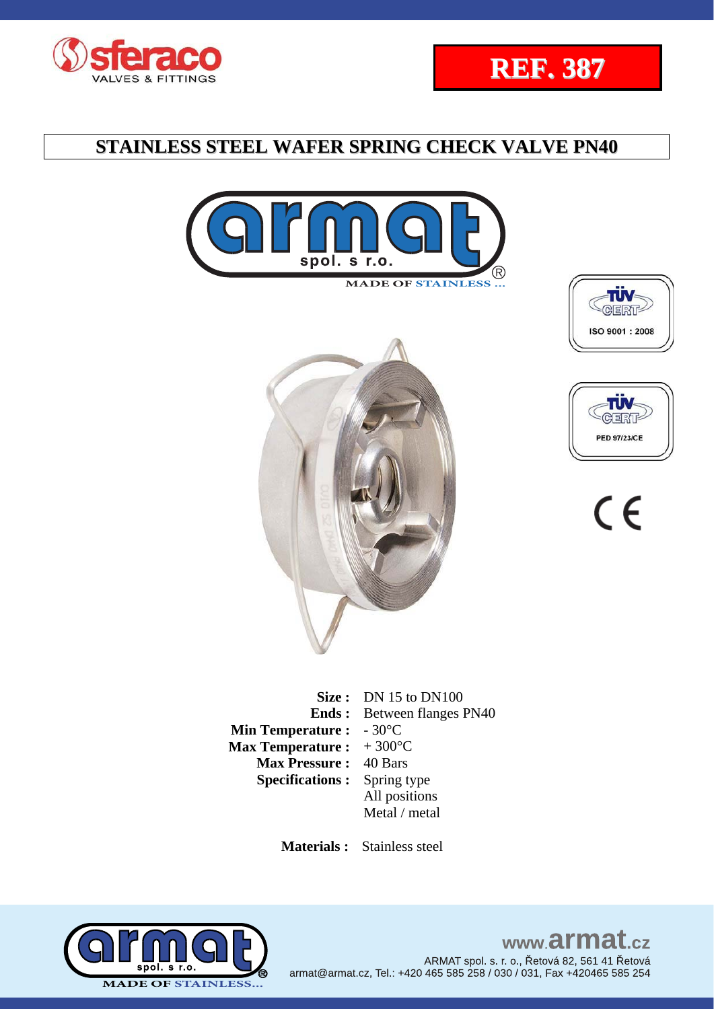











 $C \in$ 

|                         | Size: $DN 15$ to $DN100$          |
|-------------------------|-----------------------------------|
|                         | <b>Ends:</b> Between flanges PN40 |
| <b>Min Temperature:</b> | $-30^{\circ}$ C                   |
| <b>Max Temperature:</b> | $+300^{\circ}$ C                  |
| <b>Max Pressure:</b>    | 40 Bars                           |
| <b>Specifications:</b>  | Spring type                       |
|                         | All positions                     |
|                         | Metal / metal                     |
|                         |                                   |

 **Materials :** Stainless steel

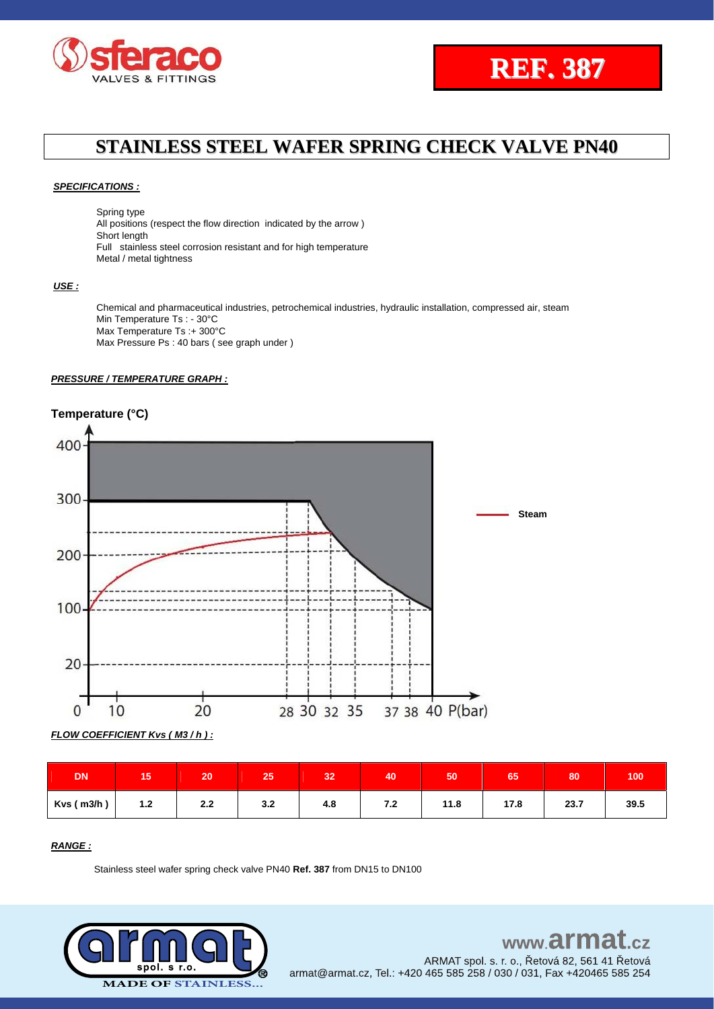



#### *SPECIFICATIONS :*

Spring type

All positions (respect the flow direction indicated by the arrow ) Short length Full stainless steel corrosion resistant and for high temperature Metal / metal tightness

### *USE :*

Chemical and pharmaceutical industries, petrochemical industries, hydraulic installation, compressed air, steam Min Temperature Ts : - 30°C Max Temperature Ts :+ 300°C Max Pressure Ps : 40 bars ( see graph under )

#### *PRESSURE / TEMPERATURE GRAPH :*

### **Temperature (°C)**



*FLOW COEFFICIENT Kvs ( M3 / h ) :*

| DN         | ю     | 20  | 25  | 32  | 40  | 50   | 65   | 80   | 100  |
|------------|-------|-----|-----|-----|-----|------|------|------|------|
| Kvs (m3/h) | $1.2$ | 2.2 | 3.2 | 4.8 | 7.2 | 11.8 | 17.8 | 23.7 | 39.5 |

### *RANGE :*

Stainless steel wafer spring check valve PN40 **Ref. 387** from DN15 to DN100

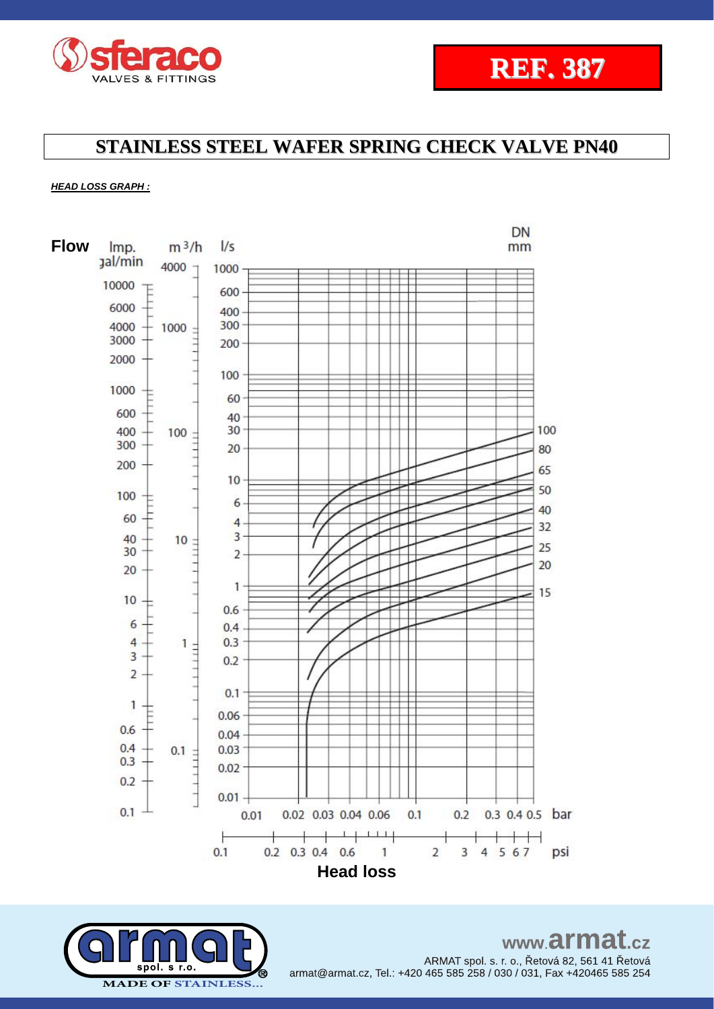

# **REF. 387**

## **STAINLESS STEEL WAFER SPRING CHECK VALVE PN40**

### *HEAD LOSS GRAPH :*



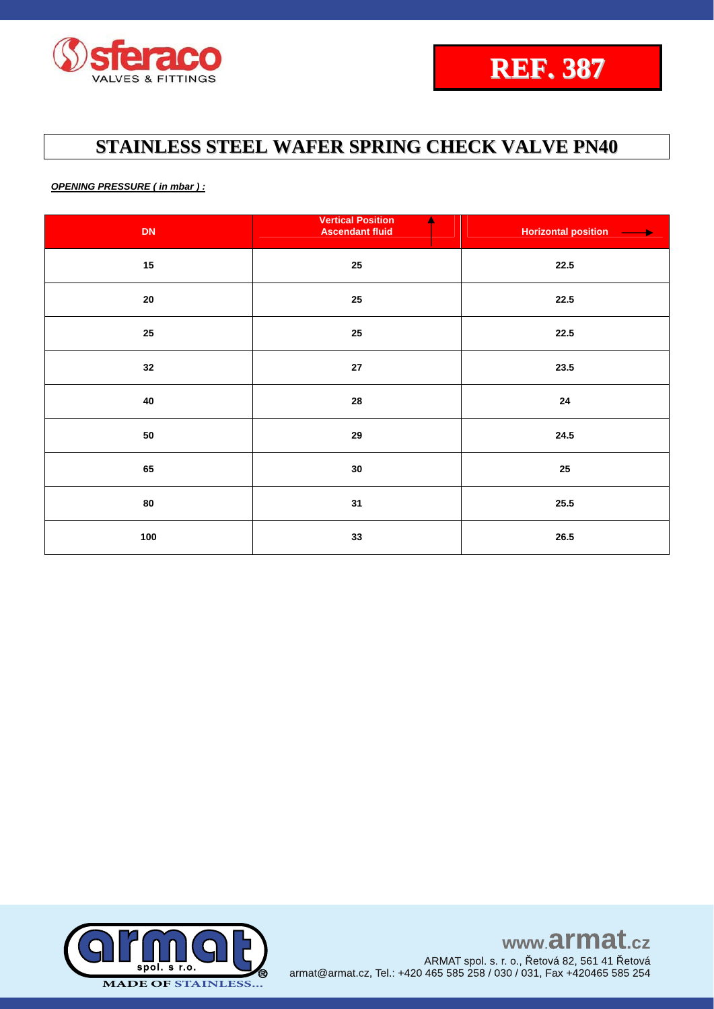

*OPENING PRESSURE ( in mbar ) :*

| DN         | <b>Vertical Position</b><br><b>Ascendant fluid</b> | <b>Horizontal position</b><br>$\overline{\phantom{a}}$ |
|------------|----------------------------------------------------|--------------------------------------------------------|
| $15\,$     | $25\,$                                             | 22.5                                                   |
| ${\bf 20}$ | $25\,$                                             | 22.5                                                   |
| 25         | $25\phantom{.0}$                                   | 22.5                                                   |
| 32         | ${\bf 27}$                                         | 23.5                                                   |
| 40         | 28                                                 | 24                                                     |
| ${\bf 50}$ | 29                                                 | 24.5                                                   |
| 65         | $30\,$                                             | 25                                                     |
| 80         | 31                                                 | 25.5                                                   |
| 100        | 33                                                 | ${\bf 26.5}$                                           |

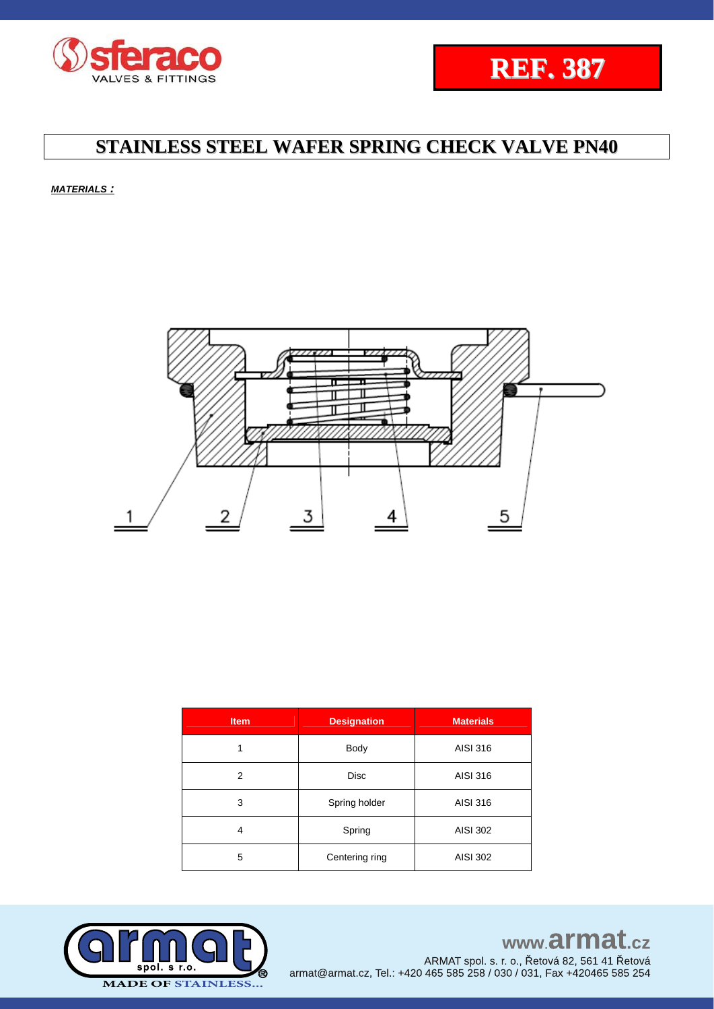



*MATERIALS :*



| <b>Item</b> | <b>Designation</b> | <b>Materials</b> |  |  |  |
|-------------|--------------------|------------------|--|--|--|
| 1           | Body               | AISI 316         |  |  |  |
| 2           | <b>Disc</b>        | AISI 316         |  |  |  |
| 3           | Spring holder      | AISI 316         |  |  |  |
| 4           | Spring             | <b>AISI 302</b>  |  |  |  |
| 5           | Centering ring     | <b>AISI 302</b>  |  |  |  |



# www.armat.cz

ARMAT spol. s. r. o., Řetová 82, 561 41 Řetová armat@armat.cz, Tel.: +420 465 585 258 / 030 / 031, Fax +420465 585 254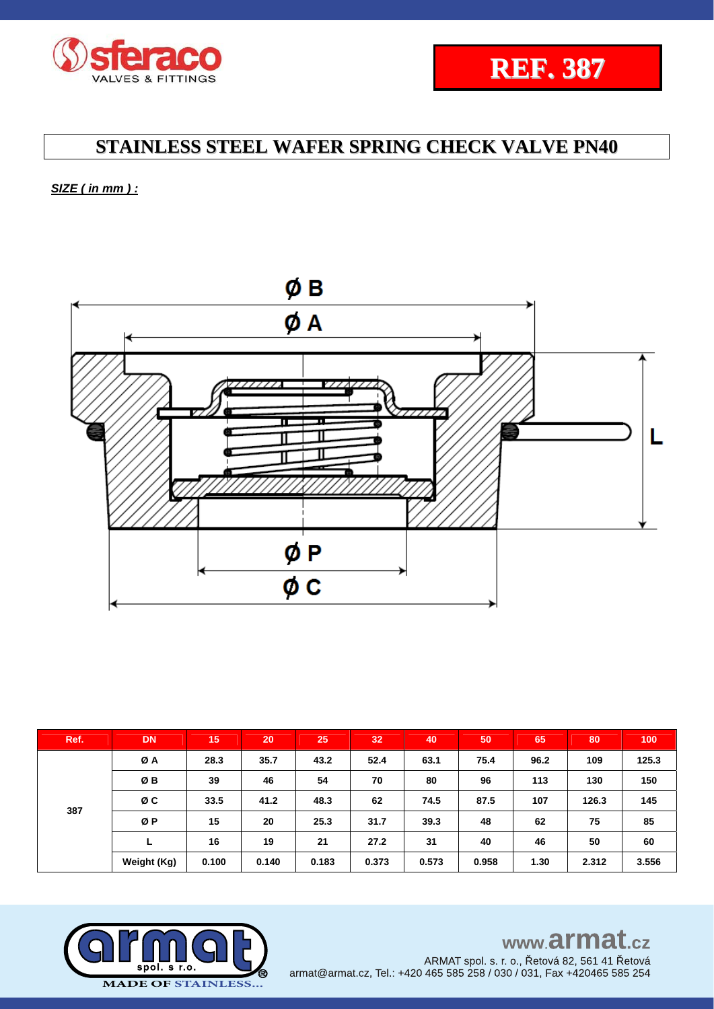



*SIZE ( in mm ) :* 



| Ref. | <b>DN</b>   | 15    | 20    | 25    | 32    | 40    | 50    | 65   | 80    | 100   |
|------|-------------|-------|-------|-------|-------|-------|-------|------|-------|-------|
| 387  | ØA          | 28.3  | 35.7  | 43.2  | 52.4  | 63.1  | 75.4  | 96.2 | 109   | 125.3 |
|      | ØB          | 39    | 46    | 54    | 70    | 80    | 96    | 113  | 130   | 150   |
|      | ØC          | 33.5  | 41.2  | 48.3  | 62    | 74.5  | 87.5  | 107  | 126.3 | 145   |
|      | ØP          | 15    | 20    | 25.3  | 31.7  | 39.3  | 48    | 62   | 75    | 85    |
|      | L           | 16    | 19    | 21    | 27.2  | 31    | 40    | 46   | 50    | 60    |
|      | Weight (Kg) | 0.100 | 0.140 | 0.183 | 0.373 | 0.573 | 0.958 | 1.30 | 2.312 | 3.556 |

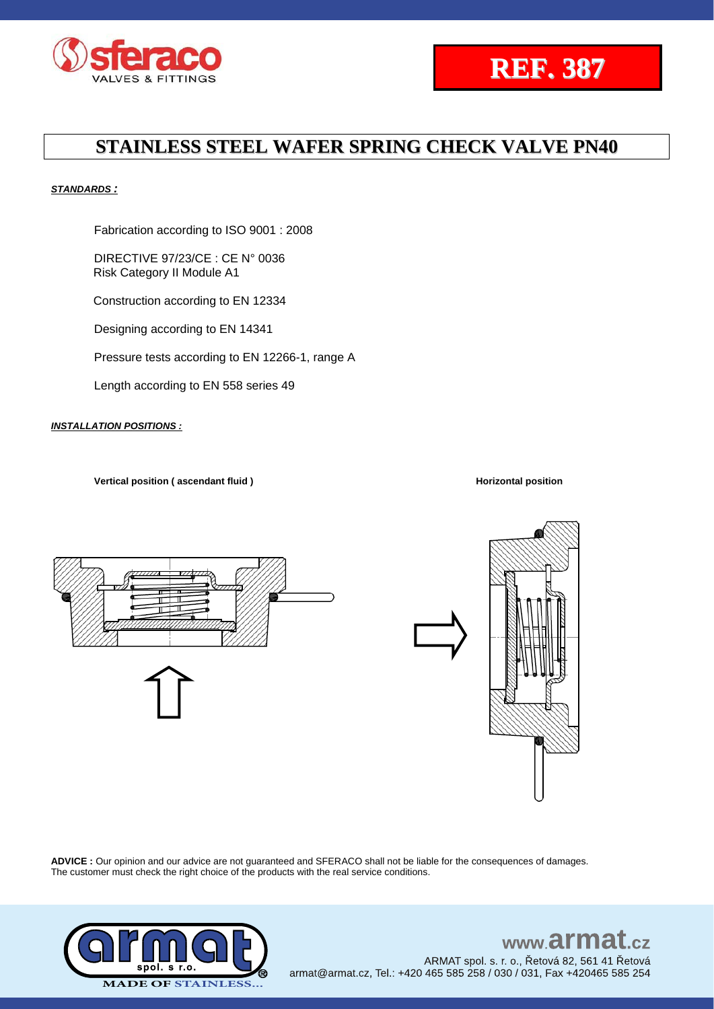



### *STANDARDS :*

Fabrication according to ISO 9001 : 2008

DIRECTIVE 97/23/CE : CE N° 0036 Risk Category II Module A1

Construction according to EN 12334

Designing according to EN 14341

Pressure tests according to EN 12266-1, range A

Length according to EN 558 series 49

### *INSTALLATION POSITIONS :*

**Vertical position ( ascendant fluid ) Horizontal position**





**ADVICE :** Our opinion and our advice are not guaranteed and SFERACO shall not be liable for the consequences of damages. The customer must check the right choice of the products with the real service conditions.



### www.armat.cz ARMAT spol. s. r. o., Řetová 82, 561 41 Řetová armat@armat.cz, Tel.: +420 465 585 258 / 030 / 031, Fax +420465 585 254